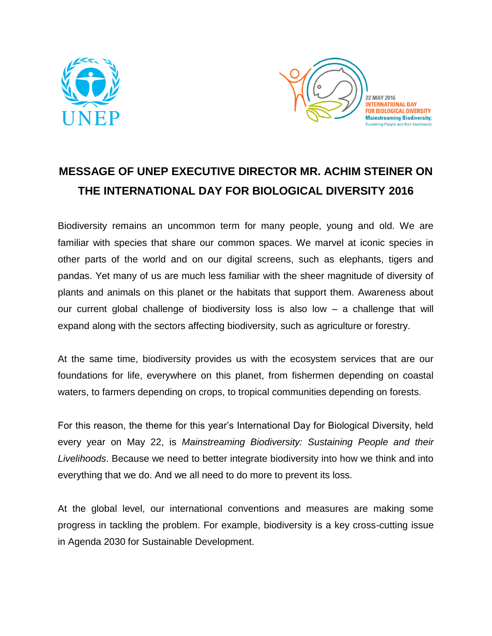



22 MAY 2016 **INTERNATIONAL DAY FOR BIOLOGICAL DIVERSITY Mainstreaming Biodiversity; Sustaining People and their Livelihoods** 

## **MESSAGE OF UNEP EXECUTIVE DIRECTOR MR. ACHIM STEINER ON THE INTERNATIONAL DAY FOR BIOLOGICAL DIVERSITY 2016**

Biodiversity remains an uncommon term for many people, young and old. We are familiar with species that share our common spaces. We marvel at iconic species in other parts of the world and on our digital screens, such as elephants, tigers and pandas. Yet many of us are much less familiar with the sheer magnitude of diversity of plants and animals on this planet or the habitats that support them. Awareness about our current global challenge of biodiversity loss is also low – a challenge that will expand along with the sectors affecting biodiversity, such as agriculture or forestry.

At the same time, biodiversity provides us with the ecosystem services that are our foundations for life, everywhere on this planet, from fishermen depending on coastal waters, to farmers depending on crops, to tropical communities depending on forests.

For this reason, the theme for this year's International Day for Biological Diversity, held every year on May 22, is *Mainstreaming Biodiversity: Sustaining People and their Livelihoods*. Because we need to better integrate biodiversity into how we think and into everything that we do. And we all need to do more to prevent its loss.

At the global level, our international conventions and measures are making some progress in tackling the problem. For example, biodiversity is a key cross-cutting issue in Agenda 2030 for Sustainable Development.